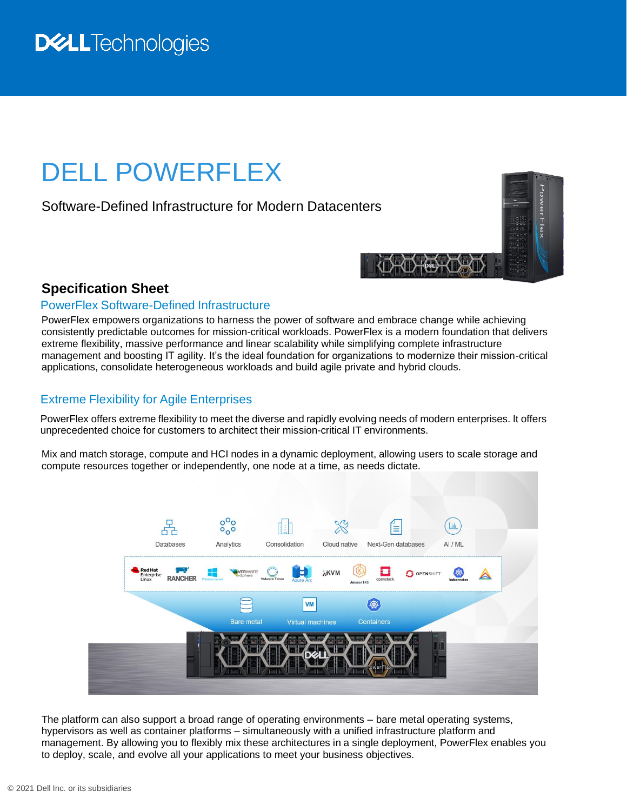## **D&LL**Technologies

# DELL POWERFLEX

Software-Defined Infrastructure for Modern Datacenters

#### **Specification Sheet**

#### PowerFlex Software-Defined Infrastructure

PowerFlex empowers organizations to harness the power of software and embrace change while achieving consistently predictable outcomes for mission-critical workloads. PowerFlex is a modern foundation that delivers extreme flexibility, massive performance and linear scalability while simplifying complete infrastructure management and boosting IT agility. It's the ideal foundation for organizations to modernize their mission-critical applications, consolidate heterogeneous workloads and build agile private and hybrid clouds.

#### Extreme Flexibility for Agile Enterprises

PowerFlex offers extreme flexibility to meet the diverse and rapidly evolving needs of modern enterprises. It offers unprecedented choice for customers to architect their mission-critical IT environments.

Mix and match storage, compute and HCI nodes in a dynamic deployment, allowing users to scale storage and compute resources together or independently, one node at a time, as needs dictate.



The platform can also support a broad range of operating environments – bare metal operating systems, hypervisors as well as container platforms – simultaneously with a unified infrastructure platform and management. By allowing you to flexibly mix these architectures in a single deployment, PowerFlex enables you to deploy, scale, and evolve all your applications to meet your business objectives.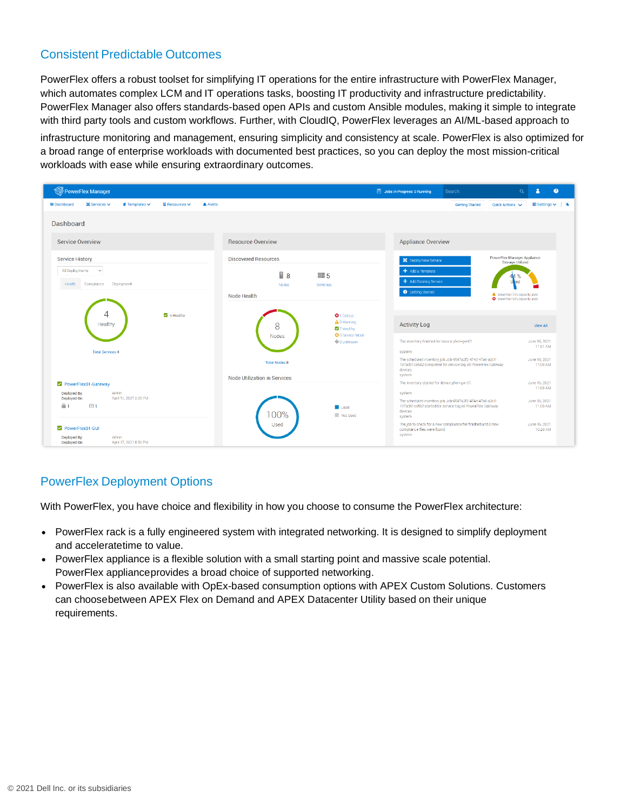#### Consistent Predictable Outcomes

PowerFlex offers a robust toolset for simplifying IT operations for the entire infrastructure with PowerFlex Manager, which automates complex LCM and IT operations tasks, boosting IT productivity and infrastructure predictability. PowerFlex Manager also offers standards-based open APIs and custom Ansible modules, making it simple to integrate with third party tools and custom workflows. Further, with CloudIQ, PowerFlex leverages an AI/ML-based approach to

infrastructure monitoring and management, ensuring simplicity and consistency at scale. PowerFlex is also optimized for a broad range of enterprise workloads with documented best practices, so you can deploy the most mission-critical workloads with ease while ensuring extraordinary outcomes.



### PowerFlex Deployment Options

With PowerFlex, you have choice and flexibility in how you choose to consume the PowerFlex architecture:

- PowerFlex rack is a fully engineered system with integrated networking. It is designed to simplify deployment and acceleratetime to value.
- PowerFlex appliance is a flexible solution with a small starting point and massive scale potential. PowerFlex applianceprovides a broad choice of supported networking.
- PowerFlex is also available with OpEx-based consumption options with APEX Custom Solutions. Customers can choosebetween APEX Flex on Demand and APEX Datacenter Utility based on their unique requirements.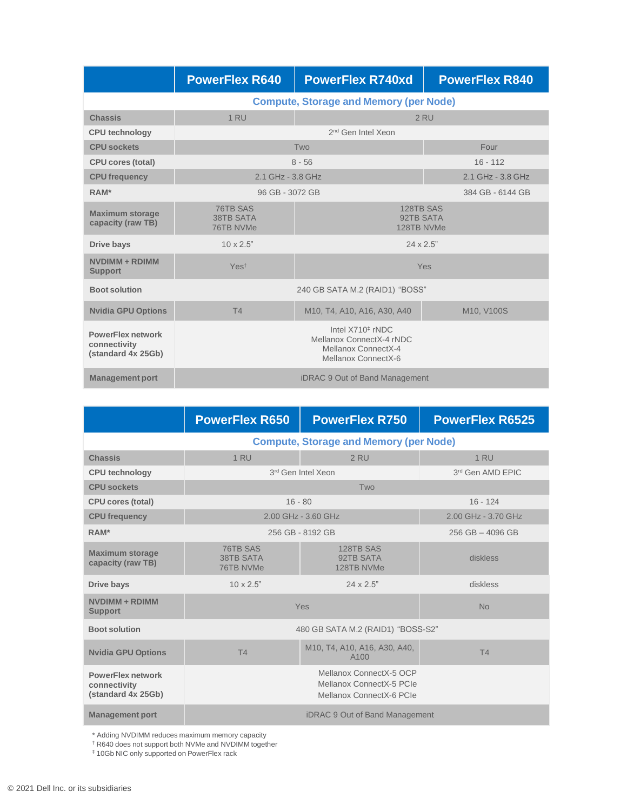|                                                                | <b>PowerFlex R640</b>                                                                                  | <b>PowerFlex R740xd</b>                                                                                  | <b>PowerFlex R840</b> |  |
|----------------------------------------------------------------|--------------------------------------------------------------------------------------------------------|----------------------------------------------------------------------------------------------------------|-----------------------|--|
|                                                                | <b>Compute, Storage and Memory (per Node)</b>                                                          |                                                                                                          |                       |  |
| <b>Chassis</b>                                                 | 1 RU<br>2 RU                                                                                           |                                                                                                          |                       |  |
| <b>CPU</b> technology                                          |                                                                                                        | 2 <sup>nd</sup> Gen Intel Xeon                                                                           |                       |  |
| <b>CPU sockets</b>                                             |                                                                                                        | Two                                                                                                      | Four                  |  |
| <b>CPU cores (total)</b>                                       |                                                                                                        | $8 - 56$                                                                                                 | $16 - 112$            |  |
| <b>CPU</b> frequency                                           | 2.1 GHz - 3.8 GHz                                                                                      |                                                                                                          | 2.1 GHz - 3.8 GHz     |  |
| RAM*                                                           | 96 GB - 3072 GB<br>384 GB - 6144 GB                                                                    |                                                                                                          |                       |  |
| <b>Maximum storage</b><br>capacity (raw TB)                    | 76TB SAS<br>128TB SAS<br><b>38TB SATA</b><br>92TB SATA<br>76TB NVMe<br>128TB NVMe                      |                                                                                                          |                       |  |
| Drive bays                                                     | $10 \times 2.5$ "<br>$24 \times 2.5"$                                                                  |                                                                                                          |                       |  |
| NVDIMM + RDIMM<br><b>Support</b>                               | Yes <sup>t</sup><br>Yes                                                                                |                                                                                                          |                       |  |
| <b>Boot solution</b>                                           | 240 GB SATA M.2 (RAID1) "BOSS"                                                                         |                                                                                                          |                       |  |
| <b>Nvidia GPU Options</b>                                      | T4                                                                                                     | M <sub>10</sub> , T <sub>4</sub> , A <sub>10</sub> , A <sub>16</sub> , A <sub>30</sub> , A <sub>40</sub> | M10, V100S            |  |
| <b>PowerFlex network</b><br>connectivity<br>(standard 4x 25Gb) | Intel X710 <sup>‡</sup> rNDC<br>Mellanox ConnectX-4 rNDC<br>Mellanox ConnectX-4<br>Mellanox ConnectX-6 |                                                                                                          |                       |  |
| <b>Management port</b>                                         | <b>iDRAC 9 Out of Band Management</b>                                                                  |                                                                                                          |                       |  |

|                                                                | <b>PowerFlex R650</b>                                                           | <b>PowerFlex R750</b>                            | <b>PowerFlex R6525</b> |  |
|----------------------------------------------------------------|---------------------------------------------------------------------------------|--------------------------------------------------|------------------------|--|
|                                                                | <b>Compute, Storage and Memory (per Node)</b>                                   |                                                  |                        |  |
| <b>Chassis</b>                                                 | <b>1 RU</b>                                                                     | 2 RU                                             | 1 RU                   |  |
| <b>CPU technology</b>                                          |                                                                                 | 3rd Gen Intel Xeon                               | 3rd Gen AMD EPIC       |  |
| <b>CPU</b> sockets                                             |                                                                                 | Two                                              |                        |  |
| <b>CPU cores (total)</b>                                       |                                                                                 | $16 - 80$                                        | $16 - 124$             |  |
| <b>CPU frequency</b>                                           |                                                                                 | 2.00 GHz - 3.60 GHz                              | 2.00 GHz - 3.70 GHz    |  |
| RAM*                                                           | 256 GB - 8192 GB                                                                | $256$ GB $-$ 4096 GB                             |                        |  |
| <b>Maximum storage</b><br>capacity (raw TB)                    | 76TB SAS<br><b>38TB SATA</b><br>76TB NVMe                                       | 128TB SAS<br>92TB SATA<br>128TB NVMe             | diskless               |  |
| Drive bays                                                     | $10 \times 2.5$ "                                                               | $24 \times 2.5"$                                 | diskless               |  |
| NVDIMM + RDIMM<br><b>Support</b>                               | Yes<br><b>No</b>                                                                |                                                  |                        |  |
| <b>Boot solution</b>                                           | 480 GB SATA M.2 (RAID1) "BOSS-S2"                                               |                                                  |                        |  |
| <b>Nvidia GPU Options</b>                                      | T4                                                                              | M10, T4, A10, A16, A30, A40,<br>A <sub>100</sub> | T4                     |  |
| <b>PowerFlex network</b><br>connectivity<br>(standard 4x 25Gb) | Mellanox ConnectX-5 OCP<br>Mellanox ConnectX-5 PCIe<br>Mellanox ConnectX-6 PCIe |                                                  |                        |  |
| <b>Management port</b>                                         | iDRAC 9 Out of Band Management                                                  |                                                  |                        |  |

\* Adding NVDIMM reduces maximum memory capacity

† R640 does not support both NVMe and NVDIMM together

‡ 10Gb NIC only supported on PowerFlex rack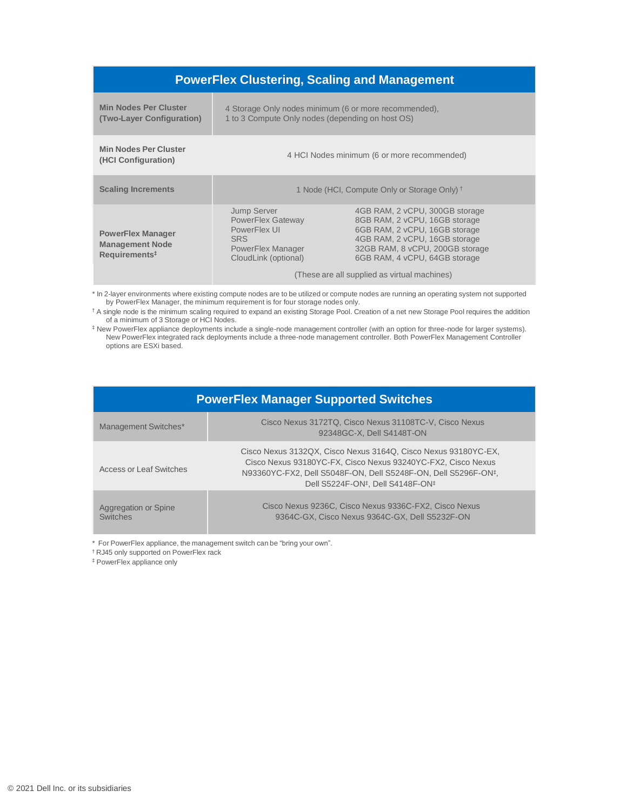| <b>PowerFlex Clustering, Scaling and Management</b>                             |                                                                                                                                                                                                                                                                                                                                                                             |  |  |  |
|---------------------------------------------------------------------------------|-----------------------------------------------------------------------------------------------------------------------------------------------------------------------------------------------------------------------------------------------------------------------------------------------------------------------------------------------------------------------------|--|--|--|
| <b>Min Nodes Per Cluster</b><br>(Two-Layer Configuration)                       | 4 Storage Only nodes minimum (6 or more recommended).<br>1 to 3 Compute Only nodes (depending on host OS)                                                                                                                                                                                                                                                                   |  |  |  |
| <b>Min Nodes Per Cluster</b><br>(HCI Configuration)                             | 4 HCI Nodes minimum (6 or more recommended)                                                                                                                                                                                                                                                                                                                                 |  |  |  |
| <b>Scaling Increments</b>                                                       | 1 Node (HCI, Compute Only or Storage Only) <sup>+</sup>                                                                                                                                                                                                                                                                                                                     |  |  |  |
| <b>PowerFlex Manager</b><br><b>Management Node</b><br>Requirements <sup>#</sup> | 4GB RAM, 2 vCPU, 300GB storage<br><b>Jump Server</b><br>8GB RAM, 2 vCPU, 16GB storage<br>PowerFlex Gateway<br>PowerFlex UI<br>6GB RAM, 2 vCPU, 16GB storage<br>4GB RAM, 2 vCPU, 16GB storage<br><b>SRS</b><br>32GB RAM, 8 vCPU, 200GB storage<br>PowerFlex Manager<br>6GB RAM, 4 vCPU, 64GB storage<br>CloudLink (optional)<br>(These are all supplied as virtual machines) |  |  |  |

\* In 2-layer environments where existing compute nodes are to be utilized or compute nodes are running an operating system not supported by PowerFlex Manager, the minimum requirement is for four storage nodes only.

† A single node is the minimum scaling required to expand an existing Storage Pool. Creation of a net new Storage Pool requires the addition of a minimum of 3 Storage or HCI Nodes.

‡ New PowerFlex appliance deployments include a single-node management controller (with an option for three-node for larger systems). New PowerFlex integrated rack deployments include a three-node management controller. Both PowerFlex Management Controller options are ESXi based.

| <b>PowerFlex Manager Supported Switches</b> |                                                                                                                                                                                                                                                                            |  |  |
|---------------------------------------------|----------------------------------------------------------------------------------------------------------------------------------------------------------------------------------------------------------------------------------------------------------------------------|--|--|
| Management Switches*                        | Cisco Nexus 3172TQ, Cisco Nexus 31108TC-V, Cisco Nexus<br>92348GC-X, Dell S4148T-ON                                                                                                                                                                                        |  |  |
| Access or Leaf Switches                     | Cisco Nexus 3132QX, Cisco Nexus 3164Q, Cisco Nexus 93180YC-EX,<br>Cisco Nexus 93180YC-FX, Cisco Nexus 93240YC-FX2, Cisco Nexus<br>N93360YC-FX2, Dell S5048F-ON, Dell S5248F-ON, Dell S5296F-ON <sup>‡</sup> ,<br>Dell S5224F-ON <sup>‡</sup> , Dell S4148F-ON <sup>‡</sup> |  |  |
| Aggregation or Spine<br><b>Switches</b>     | Cisco Nexus 9236C. Cisco Nexus 9336C-FX2. Cisco Nexus<br>9364C-GX, Cisco Nexus 9364C-GX, Dell S5232F-ON                                                                                                                                                                    |  |  |

\* For PowerFlex appliance, the management switch can be "bring your own".

† RJ45 only supported on PowerFlex rack

‡ PowerFlex appliance only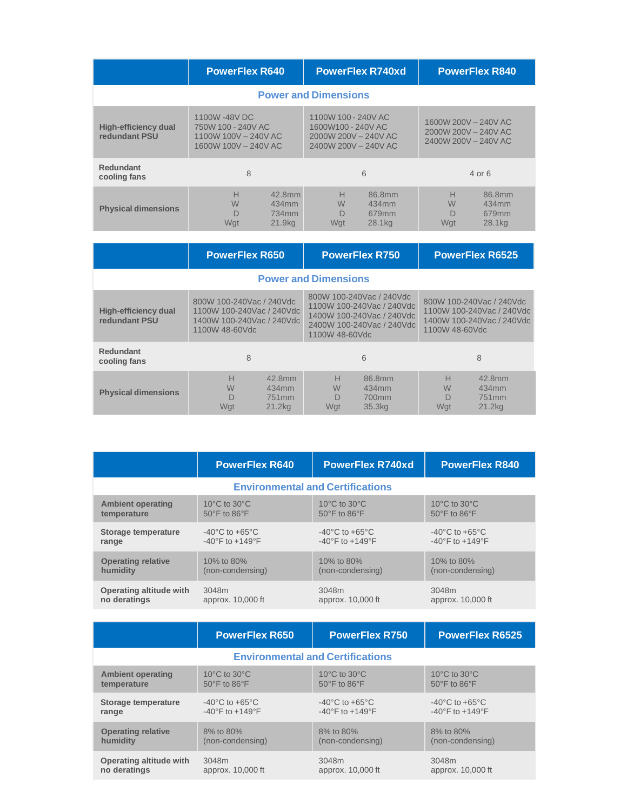|                                       | <b>PowerFlex R640</b>                                                             | <b>PowerFlex R740xd</b>                                                                   | <b>PowerFlex R840</b>                                                |  |  |  |
|---------------------------------------|-----------------------------------------------------------------------------------|-------------------------------------------------------------------------------------------|----------------------------------------------------------------------|--|--|--|
|                                       | <b>Power and Dimensions</b>                                                       |                                                                                           |                                                                      |  |  |  |
| High-efficiency dual<br>redundant PSU | 1100W-48VDC<br>750W 100 - 240V AC<br>1100W 100V - 240V AC<br>1600W 100V - 240V AC | 1100W 100 - 240V AC<br>1600W100 - 240V AC<br>2000W 200V - 240V AC<br>2400W 200V - 240V AC | 1600W 200V - 240V AC<br>2000W 200V - 240V AC<br>2400W 200V - 240V AC |  |  |  |
| <b>Redundant</b><br>cooling fans      | 8                                                                                 | 6                                                                                         | $4$ or 6                                                             |  |  |  |
| <b>Physical dimensions</b>            | H<br>42.8mm<br>W<br>434mm<br>$\Box$<br>734mm<br>Wat<br>21.9kg                     | H<br>86.8mm<br>W<br>434mm<br>D<br>679mm<br>Wat<br>28.1kg                                  | Н<br>86.8mm<br>W<br>434mm<br>D<br>679mm<br>Wat<br>28.1kg             |  |  |  |
|                                       | <b>PowerFlex R650</b>                                                             | <b>PowerFlex R750</b>                                                                     | <b>PowerFlex R6525</b>                                               |  |  |  |

|                                              | <b>FUWGH IGA INUJU</b>                                                                               |                                                            |                                                                                                                                   | <b>FUWGH IGA INTJU</b>                         |                                                                                                      | <b>FUWGH IGA INUJZJ</b>                                    |
|----------------------------------------------|------------------------------------------------------------------------------------------------------|------------------------------------------------------------|-----------------------------------------------------------------------------------------------------------------------------------|------------------------------------------------|------------------------------------------------------------------------------------------------------|------------------------------------------------------------|
| <b>Power and Dimensions</b>                  |                                                                                                      |                                                            |                                                                                                                                   |                                                |                                                                                                      |                                                            |
| <b>High-efficiency dual</b><br>redundant PSU | 800W 100-240Vac / 240Vdc<br>1100W 100-240Vac / 240Vdc<br>1400W 100-240Vac / 240Vdc<br>1100W 48-60Vdc |                                                            | 800W 100-240Vac / 240Vdc<br>1100W 100-240Vac / 240Vdc<br>1400W 100-240Vac / 240Vdc<br>2400W 100-240Vac / 240Vdc<br>1100W 48-60Vdc |                                                | 800W 100-240Vac / 240Vdc<br>1100W 100-240Vac / 240Vdc<br>1400W 100-240Vac / 240Vdc<br>1100W 48-60Vdc |                                                            |
| <b>Redundant</b><br>cooling fans             | 8                                                                                                    | 6                                                          |                                                                                                                                   |                                                | 8                                                                                                    |                                                            |
| <b>Physical dimensions</b>                   | Н<br>W<br>Wat                                                                                        | 42.8mm<br>434mm<br>751 <sub>mm</sub><br>21.2 <sub>kq</sub> | Н<br>W<br>D<br>Wat                                                                                                                | 86.8mm<br>434mm<br>700mm<br>35.3 <sub>kq</sub> | Н<br>W<br>D<br>Wat                                                                                   | 42.8mm<br>434mm<br>751 <sub>mm</sub><br>21.2 <sub>kq</sub> |

|                                         | <b>PowerFlex R640</b>                      | <b>PowerFlex R740xd</b>                    | <b>PowerFlex R840</b>                      |  |  |
|-----------------------------------------|--------------------------------------------|--------------------------------------------|--------------------------------------------|--|--|
| <b>Environmental and Certifications</b> |                                            |                                            |                                            |  |  |
| <b>Ambient operating</b>                | 10 $\rm{^{\circ}C}$ to 30 $\rm{^{\circ}C}$ | 10 $\rm{^{\circ}C}$ to 30 $\rm{^{\circ}C}$ | 10 $\rm{^{\circ}C}$ to 30 $\rm{^{\circ}C}$ |  |  |
| temperature                             | 50°F to 86°F                               | $50^{\circ}$ F to $86^{\circ}$ F           | 50°F to 86°F                               |  |  |
| Storage temperature                     | $-40^{\circ}$ C to $+65^{\circ}$ C         | $-40^{\circ}$ C to $+65^{\circ}$ C         | $-40^{\circ}$ C to $+65^{\circ}$ C         |  |  |
| range                                   | $-40^{\circ}$ F to $+149^{\circ}$ F        | $-40^{\circ}$ F to $+149^{\circ}$ F        | $-40^{\circ}$ F to $+149^{\circ}$ F        |  |  |
| <b>Operating relative</b>               | 10% to 80%                                 | 10% to 80%                                 | 10% to 80%                                 |  |  |
| humidity                                | (non-condensing)                           | (non-condensing)                           | (non-condensing)                           |  |  |
| Operating altitude with                 | 3048m                                      | 3048m                                      | 3048m                                      |  |  |
| no deratings                            | approx. 10,000 ft                          | approx. 10,000 ft                          | approx. 10,000 ft                          |  |  |

|                                         | <b>PowerFlex R650</b>                      | <b>PowerFlex R750</b>                      | <b>PowerFlex R6525</b>                     |  |  |
|-----------------------------------------|--------------------------------------------|--------------------------------------------|--------------------------------------------|--|--|
| <b>Environmental and Certifications</b> |                                            |                                            |                                            |  |  |
| <b>Ambient operating</b>                | 10 $\rm{^{\circ}C}$ to 30 $\rm{^{\circ}C}$ | 10 $\rm{^{\circ}C}$ to 30 $\rm{^{\circ}C}$ | 10 $\rm{^{\circ}C}$ to 30 $\rm{^{\circ}C}$ |  |  |
| temperature                             | 50°F to 86°F                               | $50^{\circ}$ F to $86^{\circ}$ F           | $50^{\circ}$ F to $86^{\circ}$ F           |  |  |
| Storage temperature                     | $-40^{\circ}$ C to $+65^{\circ}$ C         | $-40^{\circ}$ C to $+65^{\circ}$ C         | $-40^{\circ}$ C to $+65^{\circ}$ C         |  |  |
| range                                   | $-40^{\circ}$ F to $+149^{\circ}$ F        | $-40^{\circ}$ F to $+149^{\circ}$ F        | $-40^{\circ}$ F to $+149^{\circ}$ F        |  |  |
| <b>Operating relative</b>               | 8% to 80%                                  | 8% to 80%                                  | 8% to 80%                                  |  |  |
| humidity                                | (non-condensing)                           | (non-condensing)                           | (non-condensing)                           |  |  |
| Operating altitude with                 | 3048m                                      | 3048m                                      | 3048m                                      |  |  |
| no deratings                            | approx. 10,000 ft                          | approx. 10,000 ft                          | approx. 10,000 ft                          |  |  |